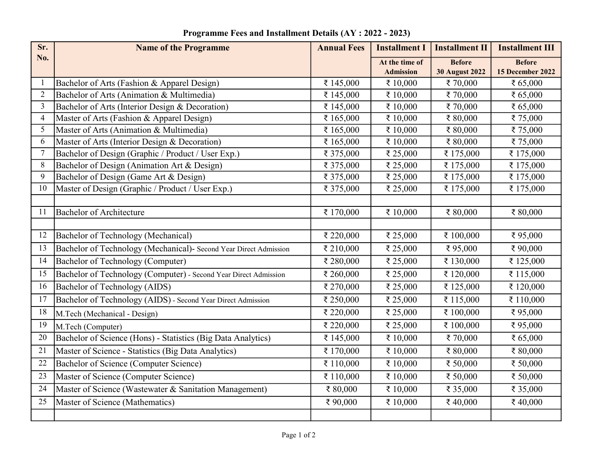| Sr.            | <b>Name of the Programme</b>                                      | <b>Annual Fees</b> | <b>Installment I</b> | <b>Installment II</b> | <b>Installment III</b> |
|----------------|-------------------------------------------------------------------|--------------------|----------------------|-----------------------|------------------------|
| No.            |                                                                   |                    | At the time of       | <b>Before</b>         | <b>Before</b>          |
|                |                                                                   |                    | <b>Admission</b>     | <b>30 August 2022</b> | 15 December 2022       |
|                | Bachelor of Arts (Fashion & Apparel Design)                       | ₹ 145,000          | ₹ 10,000             | ₹70,000               | ₹ 65,000               |
| $\overline{2}$ | Bachelor of Arts (Animation & Multimedia)                         | ₹ 145,000          | ₹ 10,000             | ₹70,000               | ₹ $65,000$             |
| $\overline{3}$ | Bachelor of Arts (Interior Design & Decoration)                   | ₹ 145,000          | ₹ 10,000             | ₹70,000               | ₹ 65,000               |
| 4              | Master of Arts (Fashion & Apparel Design)                         | ₹ 165,000          | ₹ 10,000             | ₹ 80,000              | ₹75,000                |
| 5              | Master of Arts (Animation & Multimedia)                           | ₹ 165,000          | ₹ 10,000             | ₹80,000               | ₹75,000                |
| 6              | Master of Arts (Interior Design & Decoration)                     | ₹ 165,000          | ₹ 10,000             | ₹ 80,000              | ₹75,000                |
| 7              | Bachelor of Design (Graphic / Product / User Exp.)                | ₹ 375,000          | ₹ 25,000             | ₹175,000              | ₹ 175,000              |
| 8              | Bachelor of Design (Animation Art & Design)                       | ₹ 375,000          | ₹ 25,000             | ₹ 175,000             | ₹ 175,000              |
| 9              | Bachelor of Design (Game Art & Design)                            | ₹ 375,000          | ₹ 25,000             | ₹ 175,000             | ₹ 175,000              |
| 10             | Master of Design (Graphic / Product / User Exp.)                  | ₹ 375,000          | ₹ 25,000             | ₹ 175,000             | ₹ 175,000              |
|                |                                                                   |                    |                      |                       |                        |
| 11             | <b>Bachelor of Architecture</b>                                   | ₹ 170,000          | ₹ 10,000             | ₹ 80,000              | ₹ 80,000               |
|                |                                                                   |                    |                      |                       |                        |
| 12             | Bachelor of Technology (Mechanical)                               | ₹ 220,000          | ₹ 25,000             | ₹ 100,000             | ₹95,000                |
| 13             | Bachelor of Technology (Mechanical)- Second Year Direct Admission | ₹ 210,000          | ₹ 25,000             | ₹95,000               | ₹90,000                |
| 14             | Bachelor of Technology (Computer)                                 | ₹ 280,000          | ₹ 25,000             | ₹ 130,000             | ₹125,000               |
| 15             | Bachelor of Technology (Computer) - Second Year Direct Admission  | ₹ 260,000          | ₹ 25,000             | ₹ 120,000             | ₹ 115,000              |
| 16             | Bachelor of Technology (AIDS)                                     | ₹ 270,000          | ₹ 25,000             | ₹ 125,000             | ₹ 120,000              |
| 17             | Bachelor of Technology (AIDS) - Second Year Direct Admission      | ₹ 250,000          | ₹ 25,000             | ₹ 115,000             | ₹ 110,000              |
| 18             | M.Tech (Mechanical - Design)                                      | ₹ 220,000          | ₹ 25,000             | ₹ 100,000             | ₹95,000                |
| 19             | M.Tech (Computer)                                                 | ₹ 220,000          | ₹ 25,000             | ₹ 100,000             | ₹95,000                |
| 20             | Bachelor of Science (Hons) - Statistics (Big Data Analytics)      | ₹ 145,000          | ₹ 10,000             | ₹70,000               | ₹ 65,000               |
| 21             | Master of Science - Statistics (Big Data Analytics)               | ₹ 170,000          | ₹ 10,000             | ₹ 80,000              | ₹ 80,000               |
| 22             | Bachelor of Science (Computer Science)                            | ₹ 110,000          | ₹ 10,000             | ₹ 50,000              | ₹ 50,000               |
| 23             | Master of Science (Computer Science)                              | ₹ 110,000          | ₹ 10,000             | ₹ 50,000              | ₹ 50,000               |
| 24             | Master of Science (Wastewater & Sanitation Management)            | ₹ 80,000           | ₹ 10,000             | ₹ 35,000              | ₹ 35,000               |
| 25             | Master of Science (Mathematics)                                   | ₹90,000            | ₹ 10,000             | ₹40,000               | ₹40,000                |
|                |                                                                   |                    |                      |                       |                        |

Programme Fees and Installment Details (AY : 2022 - 2023)